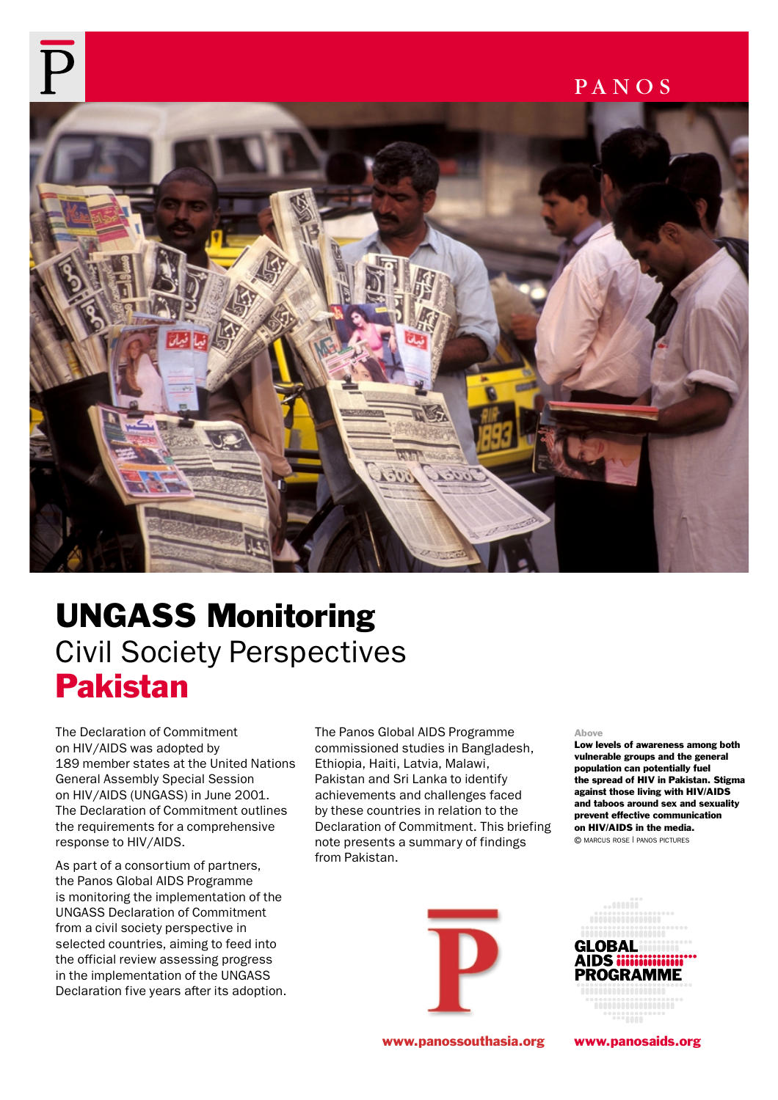

# UNGASS Monitoring Civil Society Perspectives Pakistan

The Declaration of Commitment on HIV/AIDS was adopted by 189 member states at the United Nations General Assembly Special Session on HIV/AIDS (UNGASS) in June 2001. The Declaration of Commitment outlines the requirements for a comprehensive response to HIV/AIDS.

As part of a consortium of partners, the Panos Global AIDS Programme is monitoring the implementation of the UNGASS Declaration of Commitment from a civil society perspective in selected countries, aiming to feed into the official review assessing progress in the implementation of the UNGASS Declaration five years after its adoption. The Panos Global AIDS Programme commissioned studies in Bangladesh, Ethiopia, Haiti, Latvia, Malawi, Pakistan and Sri Lanka to identify achievements and challenges faced by these countries in relation to the Declaration of Commitment. This briefing note presents a summary of findings from Pakistan.



Above

Low levels of awareness among both vulnerable groups and the general population can potentially fuel the spread of HIV in Pakistan. Stigma against those living with HIV/AIDS and taboos around sex and sexuality prevent effective communication on HIV/AIDS in the media. © MARCUS ROSE | PANOS PICTURES



www.panossouthasia.org www.panosaids.org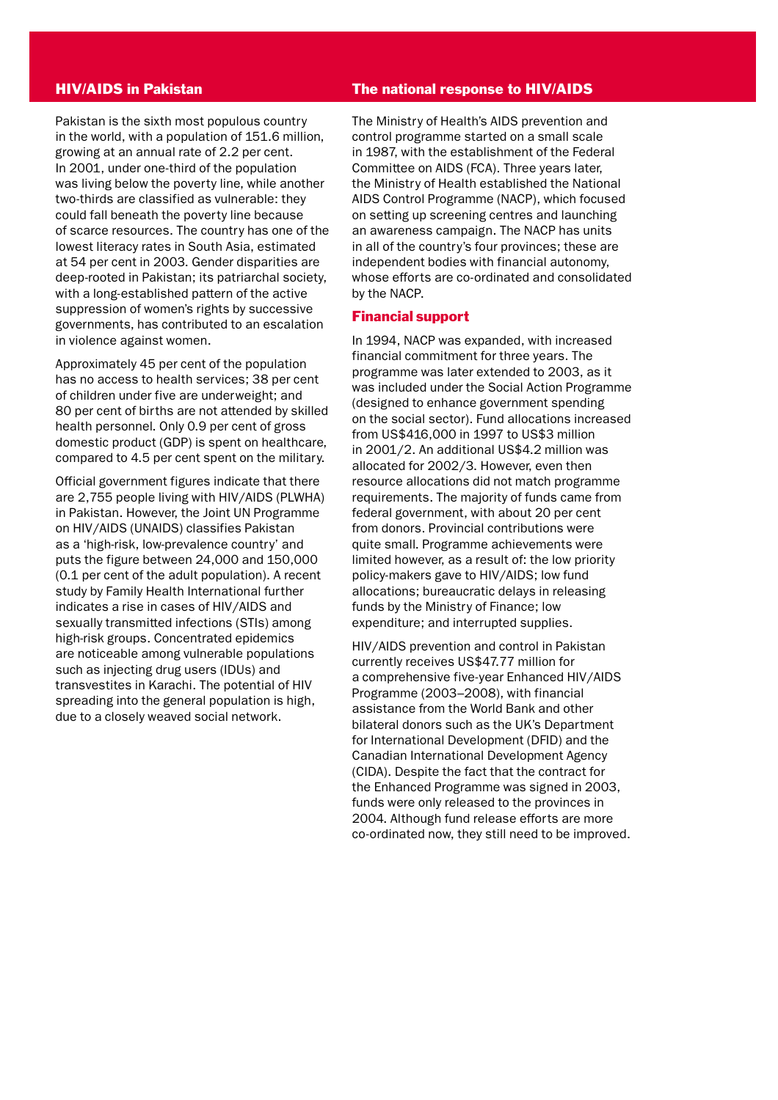#### HIV/AIDS in Pakistan

Pakistan is the sixth most populous country in the world, with a population of 151.6 million, growing at an annual rate of 2.2 per cent. In 2001, under one-third of the population was living below the poverty line, while another two-thirds are classified as vulnerable: they could fall beneath the poverty line because of scarce resources. The country has one of the lowest literacy rates in South Asia, estimated at 54 per cent in 2003. Gender disparities are deep-rooted in Pakistan; its patriarchal society, with a long-established pattern of the active suppression of women's rights by successive governments, has contributed to an escalation in violence against women.

Approximately 45 per cent of the population has no access to health services; 38 per cent of children under five are underweight; and 80 per cent of births are not attended by skilled health personnel. Only 0.9 per cent of gross domestic product (GDP) is spent on healthcare, compared to 4.5 per cent spent on the military.

Official government figures indicate that there are 2,755 people living with HIV/AIDS (PLWHA) in Pakistan. However, the Joint UN Programme on HIV/AIDS (UNAIDS) classifies Pakistan as a 'high-risk, low-prevalence country' and puts the figure between 24,000 and 150,000 (0.1 per cent of the adult population). A recent study by Family Health International further indicates a rise in cases of HIV/AIDS and sexually transmitted infections (STIs) among high-risk groups. Concentrated epidemics are noticeable among vulnerable populations such as injecting drug users (IDUs) and transvestites in Karachi. The potential of HIV spreading into the general population is high, due to a closely weaved social network.

#### The national response to HIV/AIDS

The Ministry of Health's AIDS prevention and control programme started on a small scale in 1987, with the establishment of the Federal Committee on AIDS (FCA). Three years later, the Ministry of Health established the National AIDS Control Programme (NACP), which focused on setting up screening centres and launching an awareness campaign. The NACP has units in all of the country's four provinces; these are independent bodies with financial autonomy, whose efforts are co-ordinated and consolidated by the NACP.

#### Financial support

In 1994, NACP was expanded, with increased financial commitment for three years. The programme was later extended to 2003, as it was included under the Social Action Programme (designed to enhance government spending on the social sector). Fund allocations increased from US\$416,000 in 1997 to US\$3 million in 2001/2. An additional US\$4.2 million was allocated for 2002/3. However, even then resource allocations did not match programme requirements. The majority of funds came from federal government, with about 20 per cent from donors. Provincial contributions were quite small. Programme achievements were limited however, as a result of: the low priority policy-makers gave to HIV/AIDS; low fund allocations; bureaucratic delays in releasing funds by the Ministry of Finance; low expenditure; and interrupted supplies.

HIV/AIDS prevention and control in Pakistan currently receives US\$47.77 million for a comprehensive five-year Enhanced HIV/AIDS Programme (2003–2008), with financial assistance from the World Bank and other bilateral donors such as the UK's Department for International Development (DFID) and the Canadian International Development Agency (CIDA). Despite the fact that the contract for the Enhanced Programme was signed in 2003, funds were only released to the provinces in 2004. Although fund release efforts are more co-ordinated now, they still need to be improved.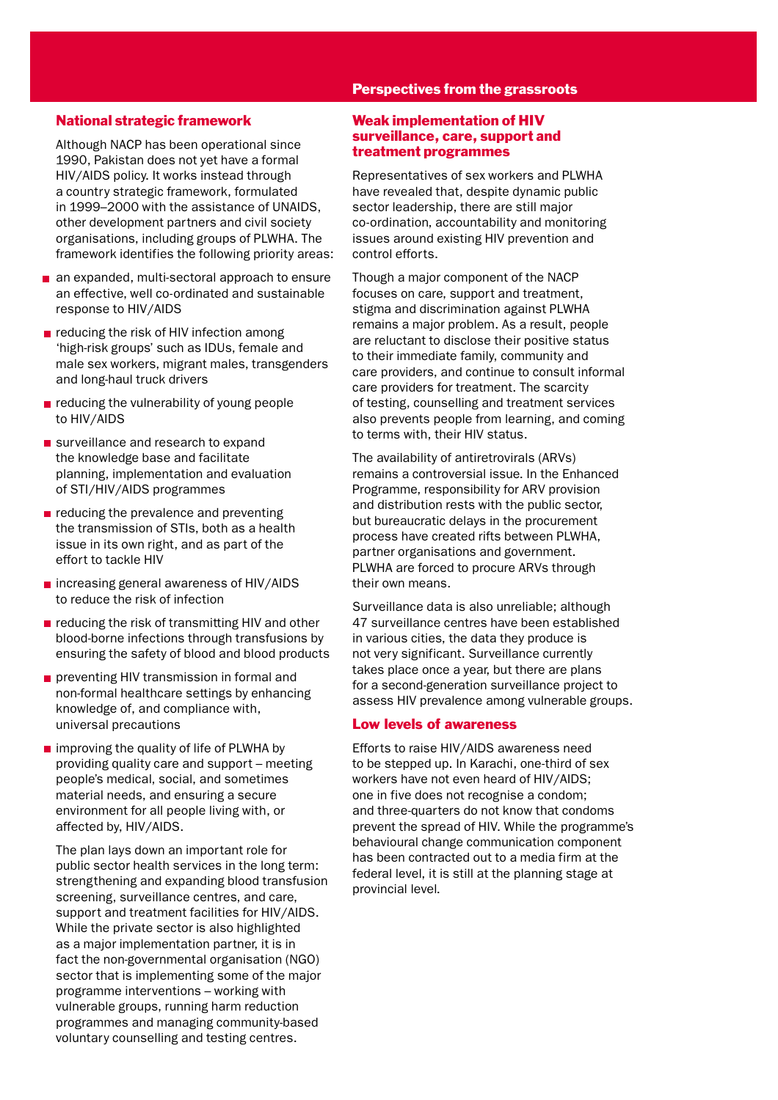#### Perspectives from the grassroots

## National strategic framework

Although NACP has been operational since 1990, Pakistan does not yet have a formal HIV/AIDS policy. It works instead through a country strategic framework, formulated in 1999–2000 with the assistance of UNAIDS, other development partners and civil society organisations, including groups of PLWHA. The framework identifies the following priority areas:

- an expanded, multi-sectoral approach to ensure an effective, well co-ordinated and sustainable response to HIV/AIDS
- reducing the risk of HIV infection among 'high-risk groups' such as IDUs, female and male sex workers, migrant males, transgenders and long-haul truck drivers
- $\blacksquare$  reducing the vulnerability of young people to HIV/AIDS
- surveillance and research to expand the knowledge base and facilitate planning, implementation and evaluation of STI/HIV/AIDS programmes
- $\blacksquare$  reducing the prevalence and preventing the transmission of STIs, both as a health issue in its own right, and as part of the effort to tackle HIV
- $\blacksquare$  increasing general awareness of HIV/AIDS to reduce the risk of infection
- $\blacksquare$  reducing the risk of transmitting HIV and other blood-borne infections through transfusions by ensuring the safety of blood and blood products
- **preventing HIV transmission in formal and** non-formal healthcare settings by enhancing knowledge of, and compliance with, universal precautions
- $\blacksquare$  improving the quality of life of PLWHA by providing quality care and support – meeting people's medical, social, and sometimes material needs, and ensuring a secure environment for all people living with, or affected by, HIV/AIDS.

The plan lays down an important role for public sector health services in the long term: strengthening and expanding blood transfusion screening, surveillance centres, and care, support and treatment facilities for HIV/AIDS. While the private sector is also highlighted as a major implementation partner, it is in fact the non-governmental organisation (NGO) sector that is implementing some of the major programme interventions – working with vulnerable groups, running harm reduction programmes and managing community-based voluntary counselling and testing centres.

## Weak implementation of HIV surveillance, care, support and treatment programmes

Representatives of sex workers and PLWHA have revealed that, despite dynamic public sector leadership, there are still major co-ordination, accountability and monitoring issues around existing HIV prevention and control efforts.

Though a major component of the NACP focuses on care, support and treatment, stigma and discrimination against PLWHA remains a major problem. As a result, people are reluctant to disclose their positive status to their immediate family, community and care providers, and continue to consult informal care providers for treatment. The scarcity of testing, counselling and treatment services also prevents people from learning, and coming to terms with, their HIV status.

The availability of antiretrovirals (ARVs) remains a controversial issue. In the Enhanced Programme, responsibility for ARV provision and distribution rests with the public sector, but bureaucratic delays in the procurement process have created rifts between PLWHA, partner organisations and government. PLWHA are forced to procure ARVs through their own means.

Surveillance data is also unreliable; although 47 surveillance centres have been established in various cities, the data they produce is not very significant. Surveillance currently takes place once a year, but there are plans for a second-generation surveillance project to assess HIV prevalence among vulnerable groups.

## Low levels of awareness

Efforts to raise HIV/AIDS awareness need to be stepped up. In Karachi, one-third of sex workers have not even heard of HIV/AIDS; one in five does not recognise a condom; and three-quarters do not know that condoms prevent the spread of HIV. While the programme's behavioural change communication component has been contracted out to a media firm at the federal level, it is still at the planning stage at provincial level.